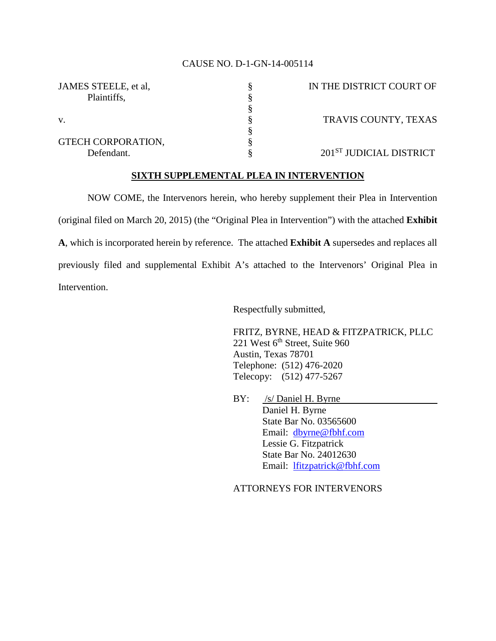## CAUSE NO. D-1-GN-14-005114

| JAMES STEELE, et al. | IN THE DISTRICT COURT OF |
|----------------------|--------------------------|
| Plaintiffs,          |                          |
|                      |                          |
| $V_{\cdot}$          | TRAVIS COUNTY, TEXAS     |
|                      |                          |
| GTECH CORPORATION,   |                          |
| Defendant.           | 201ST JUDICIAL DISTRICT  |

## **SIXTH SUPPLEMENTAL PLEA IN INTERVENTION**

NOW COME, the Intervenors herein, who hereby supplement their Plea in Intervention (original filed on March 20, 2015) (the "Original Plea in Intervention") with the attached **Exhibit A**, which is incorporated herein by reference. The attached **Exhibit A** supersedes and replaces all previously filed and supplemental Exhibit A's attached to the Intervenors' Original Plea in Intervention.

Respectfully submitted,

FRITZ, BYRNE, HEAD & FITZPATRICK, PLLC 221 West 6<sup>th</sup> Street, Suite 960 Austin, Texas 78701 Telephone: (512) 476-2020 Telecopy: (512) 477-5267

BY: /s/ Daniel H. Byrne Daniel H. Byrne State Bar No. 03565600 Email: [dbyrne@fbhf.com](mailto:dbyrne@fbhf.com) Lessie G. Fitzpatrick State Bar No. 24012630 Email: [lfitzpatrick@fbhf.com](mailto:lfitzpatrick@fbhf.com)

ATTORNEYS FOR INTERVENORS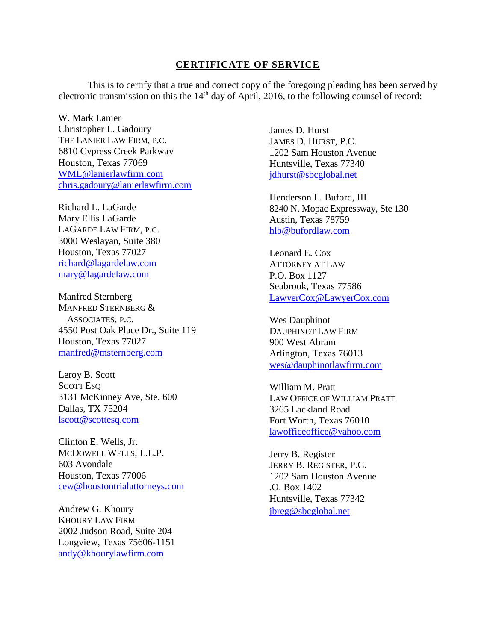## **CERTIFICATE OF SERVICE**

This is to certify that a true and correct copy of the foregoing pleading has been served by electronic transmission on this the  $14<sup>th</sup>$  day of April, 2016, to the following counsel of record:

W. Mark Lanier Christopher L. Gadoury THE LANIER LAW FIRM, P.C. 6810 Cypress Creek Parkway Houston, Texas 77069 [WML@lanierlawfirm.com](mailto:WML@lanierlawfirm.com) [chris.gadoury@lanierlawfirm.com](mailto:chris.gadoury@lanierlawfirm.com)

Richard L. LaGarde Mary Ellis LaGarde LAGARDE LAW FIRM, P.C. 3000 Weslayan, Suite 380 Houston, Texas 77027 [richard@lagardelaw.com](mailto:richard@lagardelaw.com) [mary@lagardelaw.com](mailto:mary@lagardelaw.com)

Manfred Sternberg MANFRED STERNBERG & ASSOCIATES, P.C. 4550 Post Oak Place Dr., Suite 119 Houston, Texas 77027 [manfred@msternberg.com](mailto:manfred@msternberg.com)

Leroy B. Scott SCOTT ESQ 3131 McKinney Ave, Ste. 600 Dallas, TX 75204 [lscott@scottesq.com](mailto:lscott@scottesq.com)

Clinton E. Wells, Jr. MCDOWELL WELLS, L.L.P. 603 Avondale Houston, Texas 77006 [cew@houstontrialattorneys.com](mailto:cew@houstontrialattorneys.com)

Andrew G. Khoury KHOURY LAW FIRM 2002 Judson Road, Suite 204 Longview, Texas 75606-1151 [andy@khourylawfirm.com](mailto:andy@khourylawfirm.com)

James D. Hurst JAMES D. HURST, P.C. 1202 Sam Houston Avenue Huntsville, Texas 77340 [jdhurst@sbcglobal.net](mailto:jdhurst@sbcglobal.net)

Henderson L. Buford, III 8240 N. Mopac Expressway, Ste 130 Austin, Texas 78759 [hlb@bufordlaw.com](mailto:hlb@bufordlaw.com)

Leonard E. Cox ATTORNEY AT LAW P.O. Box 1127 Seabrook, Texas 77586 [LawyerCox@LawyerCox.com](mailto:LawyerCox@LawyerCox.com)

Wes Dauphinot DAUPHINOT LAW FIRM 900 West Abram Arlington, Texas 76013 [wes@dauphinotlawfirm.com](mailto:wes@dauphinotlawfirm.com)

William M. Pratt LAW OFFICE OF WILLIAM PRATT 3265 Lackland Road Fort Worth, Texas 76010 [lawofficeoffice@yahoo.com](mailto:lawofficeoffice@yahoo.com)

Jerry B. Register JERRY B. REGISTER, P.C. 1202 Sam Houston Avenue .O. Box 1402 Huntsville, Texas 77342 [jbreg@sbcglobal.net](mailto:jbreg@sbcglobal.net)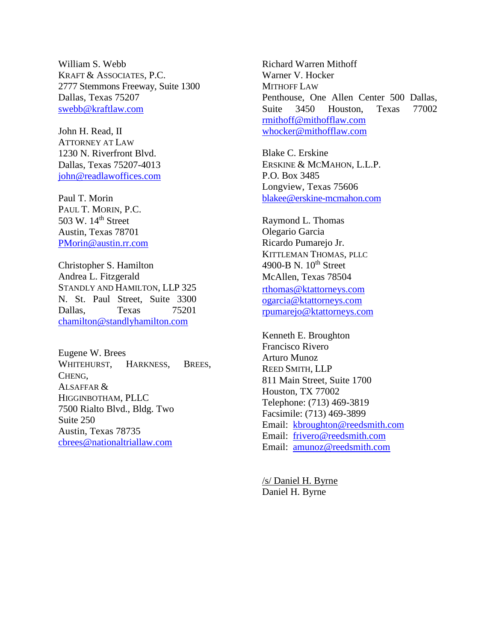William S. Webb KRAFT & ASSOCIATES, P.C. 2777 Stemmons Freeway, Suite 1300 Dallas, Texas 75207 [swebb@kraftlaw.com](mailto:swebb@kraftlaw.com)

John H. Read, II ATTORNEY AT LAW 1230 N. Riverfront Blvd. Dallas, Texas 75207-4013 [john@readlawoffices.com](mailto:john@readlawoffices.com)

Paul T. Morin PAUL T. MORIN, P.C. 503 W. 14<sup>th</sup> Street Austin, Texas 78701 [PMorin@austin.rr.com](mailto:PMorin@austin.rr.com)

Christopher S. Hamilton Andrea L. Fitzgerald STANDLY AND HAMILTON, LLP 325 N. St. Paul Street, Suite 3300 Dallas, Texas 75201 [chamilton@standlyhamilton.com](mailto:chamilton@standlyhamilton.com)

Eugene W. Brees WHITEHURST, HARKNESS, BREES, CHENG, ALSAFFAR & HIGGINBOTHAM, PLLC 7500 Rialto Blvd., Bldg. Two Suite 250 Austin, Texas 78735 [cbrees@nationaltriallaw.com](mailto:cbrees@nationaltriallaw.com)

Richard Warren Mithoff Warner V. Hocker MITHOFF LAW Penthouse, One Allen Center 500 Dallas, Suite 3450 Houston, Texas 77002 [rmithoff@mithofflaw.com](mailto:rmithoff@mithofflaw.com) [whocker@mithofflaw.com](mailto:_whocker@mithofflaw.com)

Blake C. Erskine ERSKINE & MCMAHON, L.L.P. P.O. Box 3485 Longview, Texas 75606 [blakee@erskine-mcmahon.com](mailto:blakee@erskine-mcmahon.com)

Raymond L. Thomas Olegario Garcia Ricardo Pumarejo Jr. KITTLEMAN THOMAS, PLLC 4900-B N. 10<sup>th</sup> Street McAllen, Texas 78504 [rthomas@ktattorneys.com](mailto:rthomas@ktattorneys.com)  [ogarcia@ktattorneys.com](mailto:__ogarcia@ktattorneys.com)  [rpumarejo@ktattorneys.com](mailto:__rpumarejo@ktattorneys.com)

Kenneth E. Broughton Francisco Rivero Arturo Munoz REED SMITH, LLP 811 Main Street, Suite 1700 Houston, TX 77002 Telephone: (713) 469-3819 Facsimile: (713) 469-3899 Email: [kbroughton@reedsmith.com](mailto:kbroughton@reedsmith.com) Email: [frivero@reedsmith.com](mailto:frivero@reedsmith.com) Email: [amunoz@reedsmith.com](mailto:amunoz@reedsmith.com)

/s/ Daniel H. Byrne Daniel H. Byrne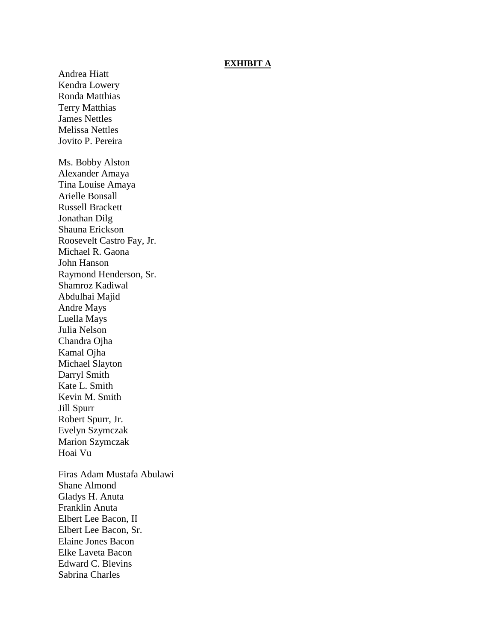## **EXHIBIT A**

Andrea Hiatt Kendra Lowery Ronda Matthias Terry Matthias James Nettles Melissa Nettles Jovito P. Pereira Ms. Bobby Alston Alexander Amaya Tina Louise Amaya Arielle Bonsall Russell Brackett Jonathan Dilg Shauna Erickson Roosevelt Castro Fay, Jr. Michael R. Gaona John Hanson Raymond Henderson, Sr. Shamroz Kadiwal Abdulhai Majid Andre Mays Luella Mays Julia Nelson Chandra Ojha Kamal Ojha Michael Slayton Darryl Smith Kate L. Smith Kevin M. Smith Jill Spurr Robert Spurr, Jr. Evelyn Szymczak Marion Szymczak Hoai Vu Firas Adam Mustafa Abulawi Shane Almond Gladys H. Anuta Franklin Anuta Elbert Lee Bacon, II Elbert Lee Bacon, Sr. Elaine Jones Bacon Elke Laveta Bacon Edward C. Blevins Sabrina Charles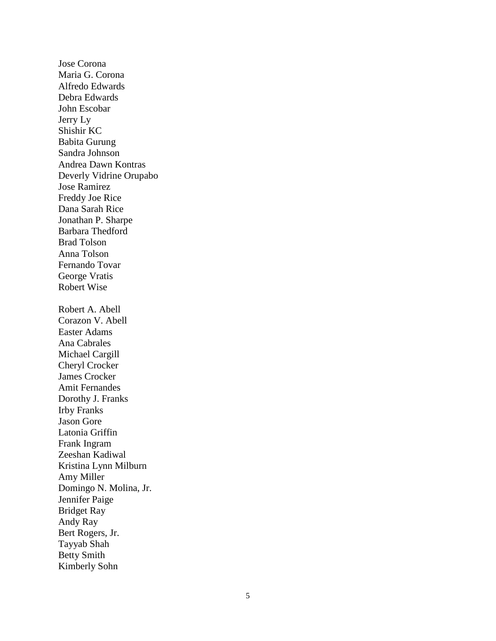Jose Corona Maria G. Corona Alfredo Edwards Debra Edwards John Escobar Jerry Ly Shishir KC Babita Gurung Sandra Johnson Andrea Dawn Kontras Deverly Vidrine Orupabo Jose Ramirez Freddy Joe Rice Dana Sarah Rice Jonathan P. Sharpe Barbara Thedford Brad Tolson Anna Tolson Fernando Tovar George Vratis Robert Wise Robert A. Abell Corazon V. Abell Easter Adams Ana Cabrales Michael Cargill Cheryl Crocker James Crocker Amit Fernandes Dorothy J. Franks Irby Franks Jason Gore Latonia Griffin Frank Ingram Zeeshan Kadiwal Kristina Lynn Milburn Amy Miller Domingo N. Molina, Jr. Jennifer Paige Bridget Ray Andy Ray Bert Rogers, Jr. Tayyab Shah Betty Smith Kimberly Sohn